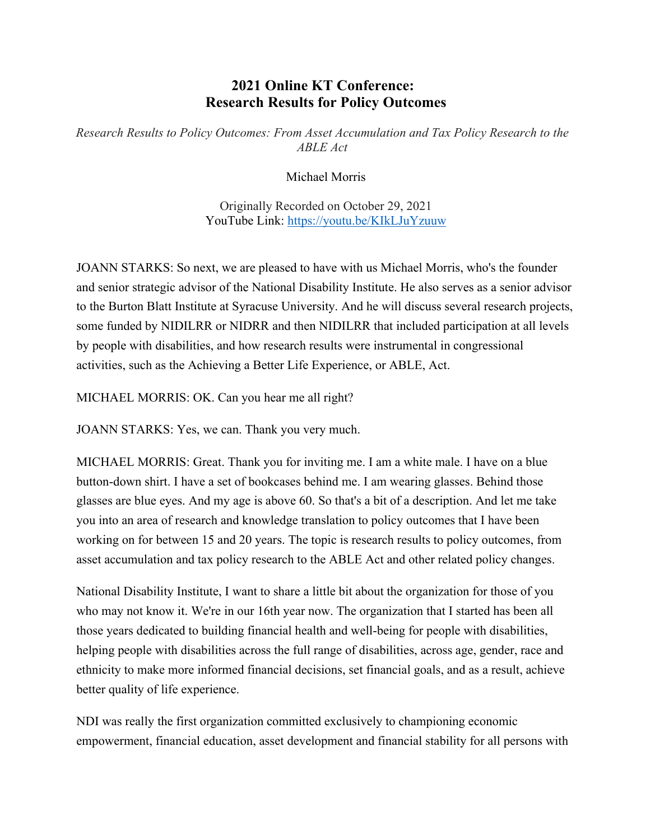## **2021 Online KT Conference: Research Results for Policy Outcomes**

*Research Results to Policy Outcomes: From Asset Accumulation and Tax Policy Research to the ABLE Act*

Michael Morris

Originally Recorded on October 29, 2021 YouTube Link: <https://youtu.be/KIkLJuYzuuw>

JOANN STARKS: So next, we are pleased to have with us Michael Morris, who's the founder and senior strategic advisor of the National Disability Institute. He also serves as a senior advisor to the Burton Blatt Institute at Syracuse University. And he will discuss several research projects, some funded by NIDILRR or NIDRR and then NIDILRR that included participation at all levels by people with disabilities, and how research results were instrumental in congressional activities, such as the Achieving a Better Life Experience, or ABLE, Act.

MICHAEL MORRIS: OK. Can you hear me all right?

JOANN STARKS: Yes, we can. Thank you very much.

MICHAEL MORRIS: Great. Thank you for inviting me. I am a white male. I have on a blue button-down shirt. I have a set of bookcases behind me. I am wearing glasses. Behind those glasses are blue eyes. And my age is above 60. So that's a bit of a description. And let me take you into an area of research and knowledge translation to policy outcomes that I have been working on for between 15 and 20 years. The topic is research results to policy outcomes, from asset accumulation and tax policy research to the ABLE Act and other related policy changes.

National Disability Institute, I want to share a little bit about the organization for those of you who may not know it. We're in our 16th year now. The organization that I started has been all those years dedicated to building financial health and well-being for people with disabilities, helping people with disabilities across the full range of disabilities, across age, gender, race and ethnicity to make more informed financial decisions, set financial goals, and as a result, achieve better quality of life experience.

NDI was really the first organization committed exclusively to championing economic empowerment, financial education, asset development and financial stability for all persons with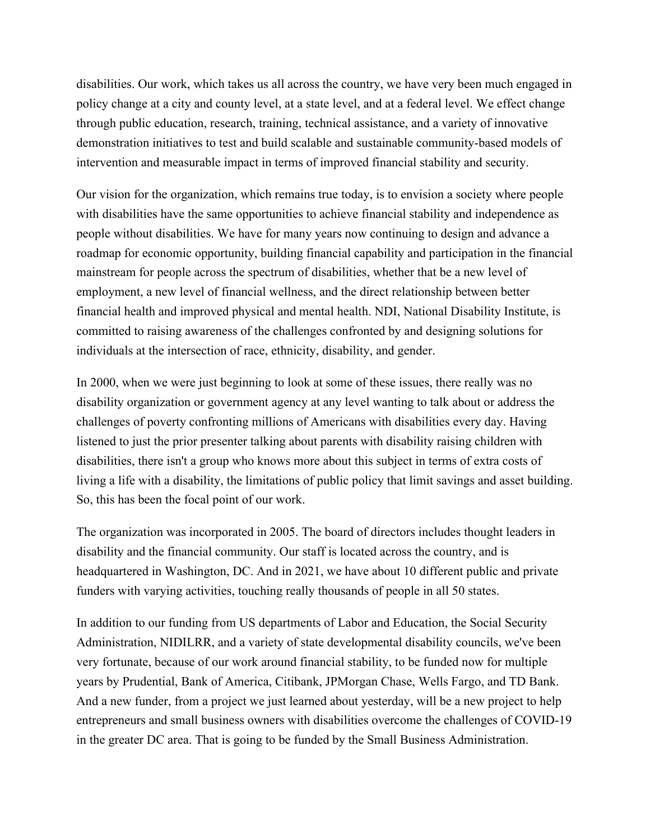disabilities. Our work, which takes us all across the country, we have very been much engaged in policy change at a city and county level, at a state level, and at a federal level. We effect change through public education, research, training, technical assistance, and a variety of innovative demonstration initiatives to test and build scalable and sustainable community-based models of intervention and measurable impact in terms of improved financial stability and security.

Our vision for the organization, which remains true today, is to envision a society where people with disabilities have the same opportunities to achieve financial stability and independence as people without disabilities. We have for many years now continuing to design and advance a roadmap for economic opportunity, building financial capability and participation in the financial mainstream for people across the spectrum of disabilities, whether that be a new level of employment, a new level of financial wellness, and the direct relationship between better financial health and improved physical and mental health. NDI, National Disability Institute, is committed to raising awareness of the challenges confronted by and designing solutions for individuals at the intersection of race, ethnicity, disability, and gender.

In 2000, when we were just beginning to look at some of these issues, there really was no disability organization or government agency at any level wanting to talk about or address the challenges of poverty confronting millions of Americans with disabilities every day. Having listened to just the prior presenter talking about parents with disability raising children with disabilities, there isn't a group who knows more about this subject in terms of extra costs of living a life with a disability, the limitations of public policy that limit savings and asset building. So, this has been the focal point of our work.

The organization was incorporated in 2005. The board of directors includes thought leaders in disability and the financial community. Our staff is located across the country, and is headquartered in Washington, DC. And in 2021, we have about 10 different public and private funders with varying activities, touching really thousands of people in all 50 states.

In addition to our funding from US departments of Labor and Education, the Social Security Administration, NIDILRR, and a variety of state developmental disability councils, we've been very fortunate, because of our work around financial stability, to be funded now for multiple years by Prudential, Bank of America, Citibank, JPMorgan Chase, Wells Fargo, and TD Bank. And a new funder, from a project we just learned about yesterday, will be a new project to help entrepreneurs and small business owners with disabilities overcome the challenges of COVID-19 in the greater DC area. That is going to be funded by the Small Business Administration.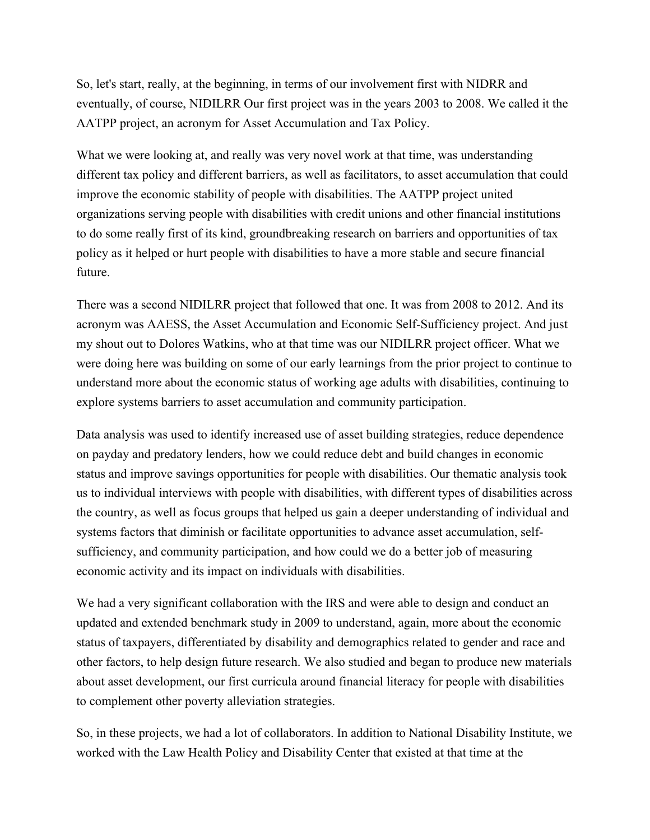So, let's start, really, at the beginning, in terms of our involvement first with NIDRR and eventually, of course, NIDILRR Our first project was in the years 2003 to 2008. We called it the AATPP project, an acronym for Asset Accumulation and Tax Policy.

What we were looking at, and really was very novel work at that time, was understanding different tax policy and different barriers, as well as facilitators, to asset accumulation that could improve the economic stability of people with disabilities. The AATPP project united organizations serving people with disabilities with credit unions and other financial institutions to do some really first of its kind, groundbreaking research on barriers and opportunities of tax policy as it helped or hurt people with disabilities to have a more stable and secure financial future.

There was a second NIDILRR project that followed that one. It was from 2008 to 2012. And its acronym was AAESS, the Asset Accumulation and Economic Self-Sufficiency project. And just my shout out to Dolores Watkins, who at that time was our NIDILRR project officer. What we were doing here was building on some of our early learnings from the prior project to continue to understand more about the economic status of working age adults with disabilities, continuing to explore systems barriers to asset accumulation and community participation.

Data analysis was used to identify increased use of asset building strategies, reduce dependence on payday and predatory lenders, how we could reduce debt and build changes in economic status and improve savings opportunities for people with disabilities. Our thematic analysis took us to individual interviews with people with disabilities, with different types of disabilities across the country, as well as focus groups that helped us gain a deeper understanding of individual and systems factors that diminish or facilitate opportunities to advance asset accumulation, selfsufficiency, and community participation, and how could we do a better job of measuring economic activity and its impact on individuals with disabilities.

We had a very significant collaboration with the IRS and were able to design and conduct an updated and extended benchmark study in 2009 to understand, again, more about the economic status of taxpayers, differentiated by disability and demographics related to gender and race and other factors, to help design future research. We also studied and began to produce new materials about asset development, our first curricula around financial literacy for people with disabilities to complement other poverty alleviation strategies.

So, in these projects, we had a lot of collaborators. In addition to National Disability Institute, we worked with the Law Health Policy and Disability Center that existed at that time at the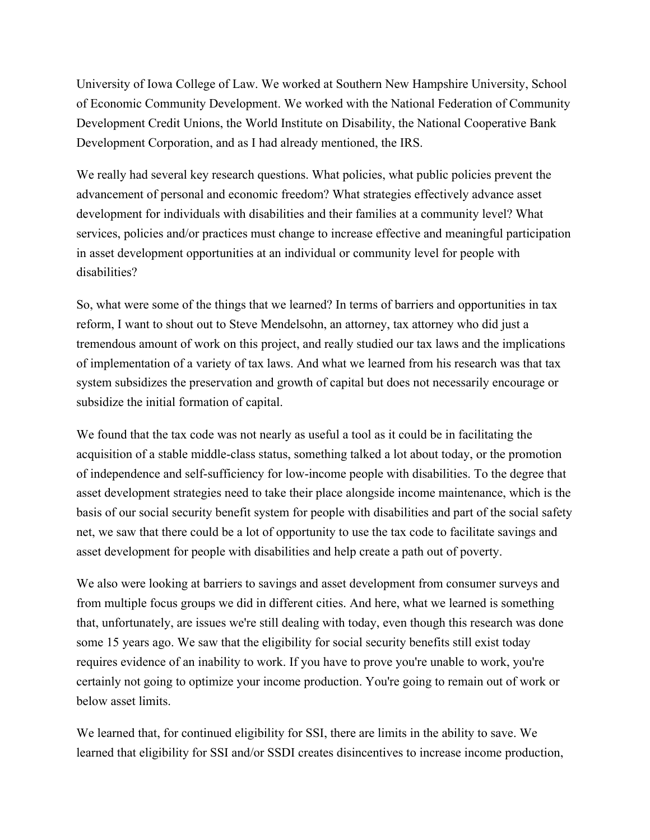University of Iowa College of Law. We worked at Southern New Hampshire University, School of Economic Community Development. We worked with the National Federation of Community Development Credit Unions, the World Institute on Disability, the National Cooperative Bank Development Corporation, and as I had already mentioned, the IRS.

We really had several key research questions. What policies, what public policies prevent the advancement of personal and economic freedom? What strategies effectively advance asset development for individuals with disabilities and their families at a community level? What services, policies and/or practices must change to increase effective and meaningful participation in asset development opportunities at an individual or community level for people with disabilities?

So, what were some of the things that we learned? In terms of barriers and opportunities in tax reform, I want to shout out to Steve Mendelsohn, an attorney, tax attorney who did just a tremendous amount of work on this project, and really studied our tax laws and the implications of implementation of a variety of tax laws. And what we learned from his research was that tax system subsidizes the preservation and growth of capital but does not necessarily encourage or subsidize the initial formation of capital.

We found that the tax code was not nearly as useful a tool as it could be in facilitating the acquisition of a stable middle-class status, something talked a lot about today, or the promotion of independence and self-sufficiency for low-income people with disabilities. To the degree that asset development strategies need to take their place alongside income maintenance, which is the basis of our social security benefit system for people with disabilities and part of the social safety net, we saw that there could be a lot of opportunity to use the tax code to facilitate savings and asset development for people with disabilities and help create a path out of poverty.

We also were looking at barriers to savings and asset development from consumer surveys and from multiple focus groups we did in different cities. And here, what we learned is something that, unfortunately, are issues we're still dealing with today, even though this research was done some 15 years ago. We saw that the eligibility for social security benefits still exist today requires evidence of an inability to work. If you have to prove you're unable to work, you're certainly not going to optimize your income production. You're going to remain out of work or below asset limits.

We learned that, for continued eligibility for SSI, there are limits in the ability to save. We learned that eligibility for SSI and/or SSDI creates disincentives to increase income production,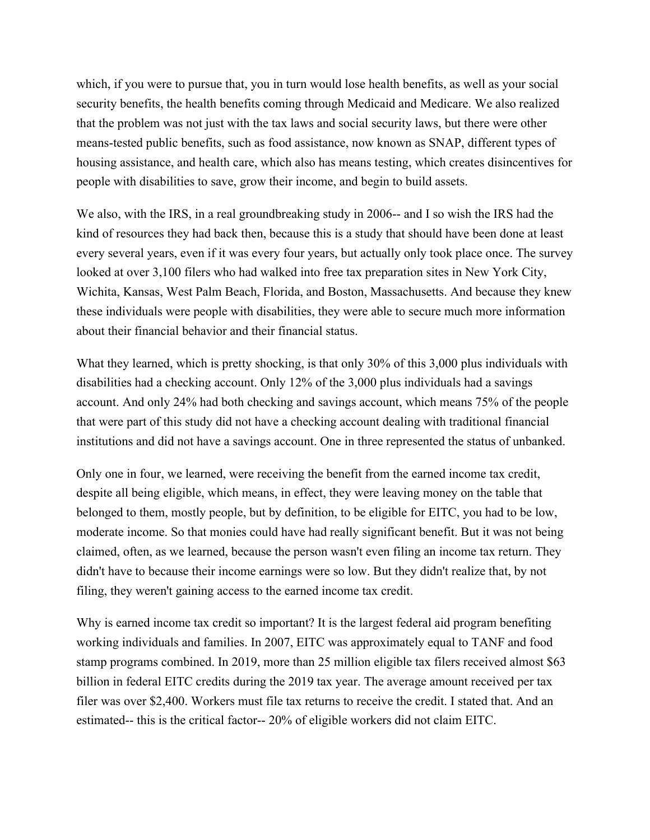which, if you were to pursue that, you in turn would lose health benefits, as well as your social security benefits, the health benefits coming through Medicaid and Medicare. We also realized that the problem was not just with the tax laws and social security laws, but there were other means-tested public benefits, such as food assistance, now known as SNAP, different types of housing assistance, and health care, which also has means testing, which creates disincentives for people with disabilities to save, grow their income, and begin to build assets.

We also, with the IRS, in a real groundbreaking study in 2006-- and I so wish the IRS had the kind of resources they had back then, because this is a study that should have been done at least every several years, even if it was every four years, but actually only took place once. The survey looked at over 3,100 filers who had walked into free tax preparation sites in New York City, Wichita, Kansas, West Palm Beach, Florida, and Boston, Massachusetts. And because they knew these individuals were people with disabilities, they were able to secure much more information about their financial behavior and their financial status.

What they learned, which is pretty shocking, is that only 30% of this 3,000 plus individuals with disabilities had a checking account. Only 12% of the 3,000 plus individuals had a savings account. And only 24% had both checking and savings account, which means 75% of the people that were part of this study did not have a checking account dealing with traditional financial institutions and did not have a savings account. One in three represented the status of unbanked.

Only one in four, we learned, were receiving the benefit from the earned income tax credit, despite all being eligible, which means, in effect, they were leaving money on the table that belonged to them, mostly people, but by definition, to be eligible for EITC, you had to be low, moderate income. So that monies could have had really significant benefit. But it was not being claimed, often, as we learned, because the person wasn't even filing an income tax return. They didn't have to because their income earnings were so low. But they didn't realize that, by not filing, they weren't gaining access to the earned income tax credit.

Why is earned income tax credit so important? It is the largest federal aid program benefiting working individuals and families. In 2007, EITC was approximately equal to TANF and food stamp programs combined. In 2019, more than 25 million eligible tax filers received almost \$63 billion in federal EITC credits during the 2019 tax year. The average amount received per tax filer was over \$2,400. Workers must file tax returns to receive the credit. I stated that. And an estimated-- this is the critical factor-- 20% of eligible workers did not claim EITC.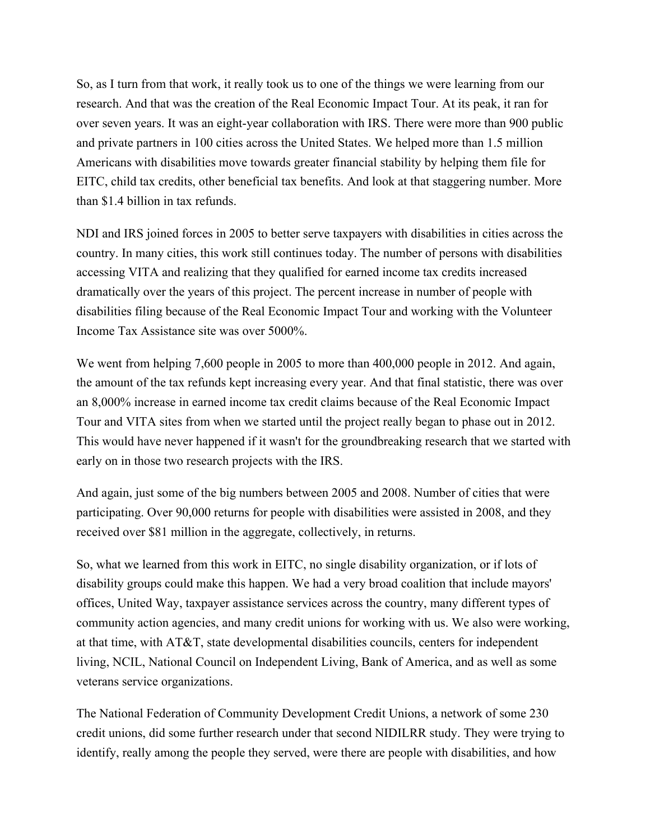So, as I turn from that work, it really took us to one of the things we were learning from our research. And that was the creation of the Real Economic Impact Tour. At its peak, it ran for over seven years. It was an eight-year collaboration with IRS. There were more than 900 public and private partners in 100 cities across the United States. We helped more than 1.5 million Americans with disabilities move towards greater financial stability by helping them file for EITC, child tax credits, other beneficial tax benefits. And look at that staggering number. More than \$1.4 billion in tax refunds.

NDI and IRS joined forces in 2005 to better serve taxpayers with disabilities in cities across the country. In many cities, this work still continues today. The number of persons with disabilities accessing VITA and realizing that they qualified for earned income tax credits increased dramatically over the years of this project. The percent increase in number of people with disabilities filing because of the Real Economic Impact Tour and working with the Volunteer Income Tax Assistance site was over 5000%.

We went from helping 7,600 people in 2005 to more than 400,000 people in 2012. And again, the amount of the tax refunds kept increasing every year. And that final statistic, there was over an 8,000% increase in earned income tax credit claims because of the Real Economic Impact Tour and VITA sites from when we started until the project really began to phase out in 2012. This would have never happened if it wasn't for the groundbreaking research that we started with early on in those two research projects with the IRS.

And again, just some of the big numbers between 2005 and 2008. Number of cities that were participating. Over 90,000 returns for people with disabilities were assisted in 2008, and they received over \$81 million in the aggregate, collectively, in returns.

So, what we learned from this work in EITC, no single disability organization, or if lots of disability groups could make this happen. We had a very broad coalition that include mayors' offices, United Way, taxpayer assistance services across the country, many different types of community action agencies, and many credit unions for working with us. We also were working, at that time, with AT&T, state developmental disabilities councils, centers for independent living, NCIL, National Council on Independent Living, Bank of America, and as well as some veterans service organizations.

The National Federation of Community Development Credit Unions, a network of some 230 credit unions, did some further research under that second NIDILRR study. They were trying to identify, really among the people they served, were there are people with disabilities, and how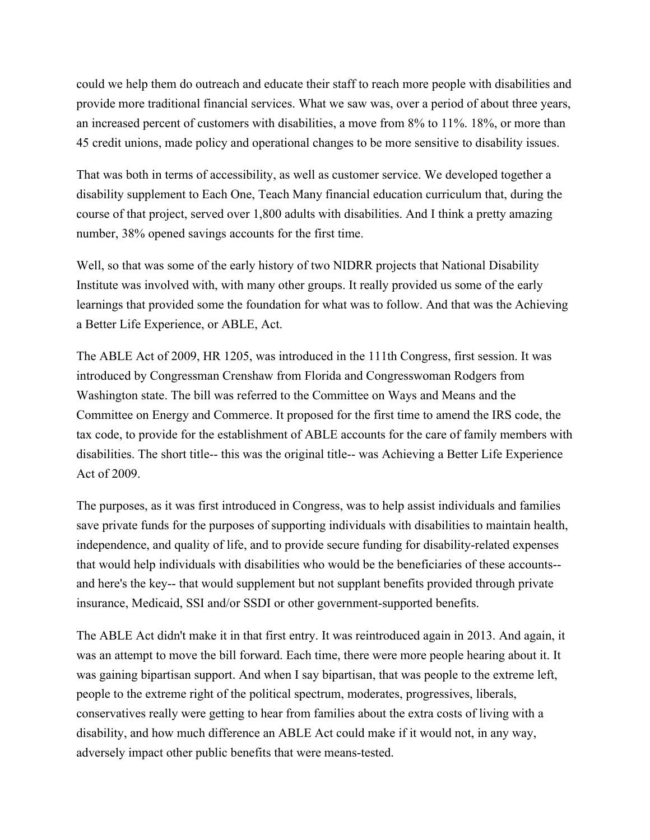could we help them do outreach and educate their staff to reach more people with disabilities and provide more traditional financial services. What we saw was, over a period of about three years, an increased percent of customers with disabilities, a move from 8% to 11%. 18%, or more than 45 credit unions, made policy and operational changes to be more sensitive to disability issues.

That was both in terms of accessibility, as well as customer service. We developed together a disability supplement to Each One, Teach Many financial education curriculum that, during the course of that project, served over 1,800 adults with disabilities. And I think a pretty amazing number, 38% opened savings accounts for the first time.

Well, so that was some of the early history of two NIDRR projects that National Disability Institute was involved with, with many other groups. It really provided us some of the early learnings that provided some the foundation for what was to follow. And that was the Achieving a Better Life Experience, or ABLE, Act.

The ABLE Act of 2009, HR 1205, was introduced in the 111th Congress, first session. It was introduced by Congressman Crenshaw from Florida and Congresswoman Rodgers from Washington state. The bill was referred to the Committee on Ways and Means and the Committee on Energy and Commerce. It proposed for the first time to amend the IRS code, the tax code, to provide for the establishment of ABLE accounts for the care of family members with disabilities. The short title-- this was the original title-- was Achieving a Better Life Experience Act of 2009.

The purposes, as it was first introduced in Congress, was to help assist individuals and families save private funds for the purposes of supporting individuals with disabilities to maintain health, independence, and quality of life, and to provide secure funding for disability-related expenses that would help individuals with disabilities who would be the beneficiaries of these accounts- and here's the key-- that would supplement but not supplant benefits provided through private insurance, Medicaid, SSI and/or SSDI or other government-supported benefits.

The ABLE Act didn't make it in that first entry. It was reintroduced again in 2013. And again, it was an attempt to move the bill forward. Each time, there were more people hearing about it. It was gaining bipartisan support. And when I say bipartisan, that was people to the extreme left, people to the extreme right of the political spectrum, moderates, progressives, liberals, conservatives really were getting to hear from families about the extra costs of living with a disability, and how much difference an ABLE Act could make if it would not, in any way, adversely impact other public benefits that were means-tested.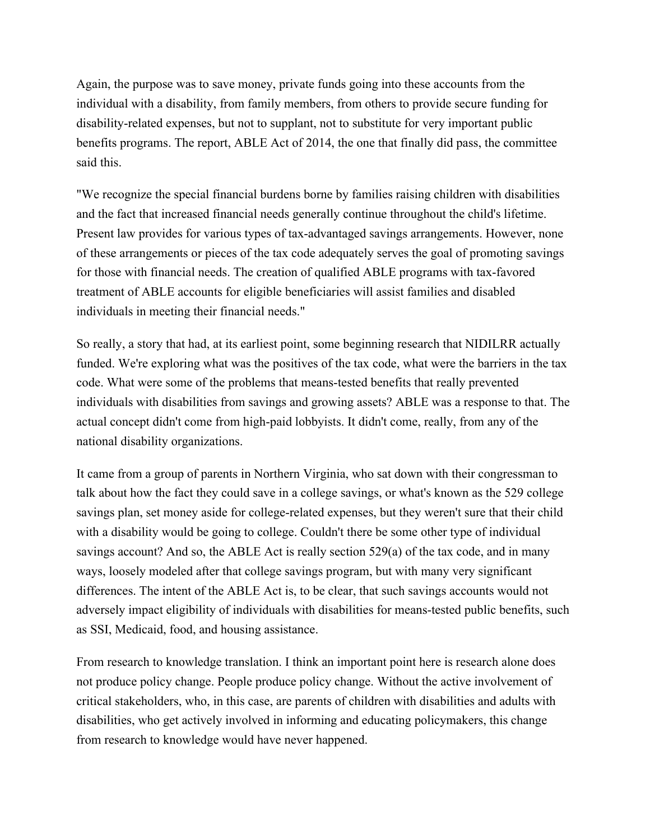Again, the purpose was to save money, private funds going into these accounts from the individual with a disability, from family members, from others to provide secure funding for disability-related expenses, but not to supplant, not to substitute for very important public benefits programs. The report, ABLE Act of 2014, the one that finally did pass, the committee said this.

"We recognize the special financial burdens borne by families raising children with disabilities and the fact that increased financial needs generally continue throughout the child's lifetime. Present law provides for various types of tax-advantaged savings arrangements. However, none of these arrangements or pieces of the tax code adequately serves the goal of promoting savings for those with financial needs. The creation of qualified ABLE programs with tax-favored treatment of ABLE accounts for eligible beneficiaries will assist families and disabled individuals in meeting their financial needs."

So really, a story that had, at its earliest point, some beginning research that NIDILRR actually funded. We're exploring what was the positives of the tax code, what were the barriers in the tax code. What were some of the problems that means-tested benefits that really prevented individuals with disabilities from savings and growing assets? ABLE was a response to that. The actual concept didn't come from high-paid lobbyists. It didn't come, really, from any of the national disability organizations.

It came from a group of parents in Northern Virginia, who sat down with their congressman to talk about how the fact they could save in a college savings, or what's known as the 529 college savings plan, set money aside for college-related expenses, but they weren't sure that their child with a disability would be going to college. Couldn't there be some other type of individual savings account? And so, the ABLE Act is really section 529(a) of the tax code, and in many ways, loosely modeled after that college savings program, but with many very significant differences. The intent of the ABLE Act is, to be clear, that such savings accounts would not adversely impact eligibility of individuals with disabilities for means-tested public benefits, such as SSI, Medicaid, food, and housing assistance.

From research to knowledge translation. I think an important point here is research alone does not produce policy change. People produce policy change. Without the active involvement of critical stakeholders, who, in this case, are parents of children with disabilities and adults with disabilities, who get actively involved in informing and educating policymakers, this change from research to knowledge would have never happened.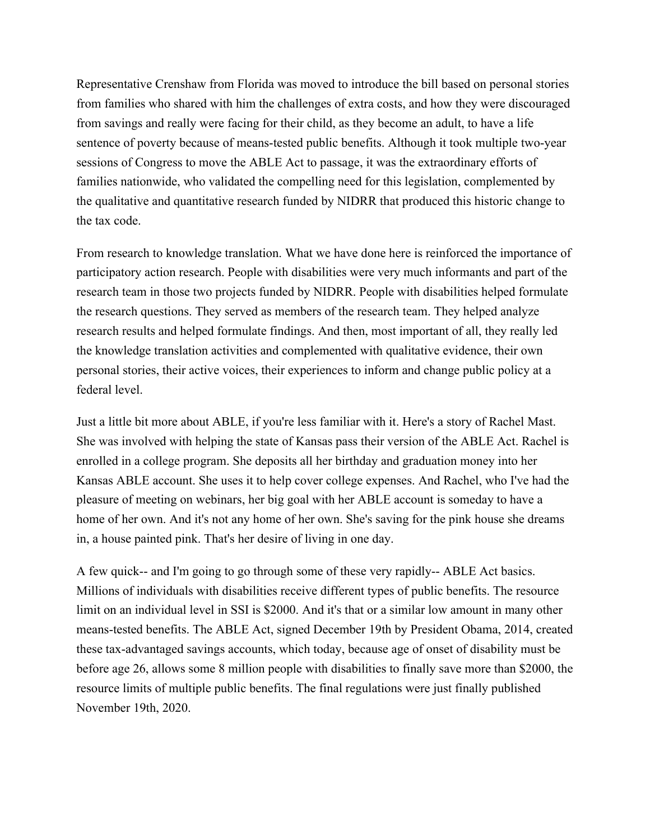Representative Crenshaw from Florida was moved to introduce the bill based on personal stories from families who shared with him the challenges of extra costs, and how they were discouraged from savings and really were facing for their child, as they become an adult, to have a life sentence of poverty because of means-tested public benefits. Although it took multiple two-year sessions of Congress to move the ABLE Act to passage, it was the extraordinary efforts of families nationwide, who validated the compelling need for this legislation, complemented by the qualitative and quantitative research funded by NIDRR that produced this historic change to the tax code.

From research to knowledge translation. What we have done here is reinforced the importance of participatory action research. People with disabilities were very much informants and part of the research team in those two projects funded by NIDRR. People with disabilities helped formulate the research questions. They served as members of the research team. They helped analyze research results and helped formulate findings. And then, most important of all, they really led the knowledge translation activities and complemented with qualitative evidence, their own personal stories, their active voices, their experiences to inform and change public policy at a federal level.

Just a little bit more about ABLE, if you're less familiar with it. Here's a story of Rachel Mast. She was involved with helping the state of Kansas pass their version of the ABLE Act. Rachel is enrolled in a college program. She deposits all her birthday and graduation money into her Kansas ABLE account. She uses it to help cover college expenses. And Rachel, who I've had the pleasure of meeting on webinars, her big goal with her ABLE account is someday to have a home of her own. And it's not any home of her own. She's saving for the pink house she dreams in, a house painted pink. That's her desire of living in one day.

A few quick-- and I'm going to go through some of these very rapidly-- ABLE Act basics. Millions of individuals with disabilities receive different types of public benefits. The resource limit on an individual level in SSI is \$2000. And it's that or a similar low amount in many other means-tested benefits. The ABLE Act, signed December 19th by President Obama, 2014, created these tax-advantaged savings accounts, which today, because age of onset of disability must be before age 26, allows some 8 million people with disabilities to finally save more than \$2000, the resource limits of multiple public benefits. The final regulations were just finally published November 19th, 2020.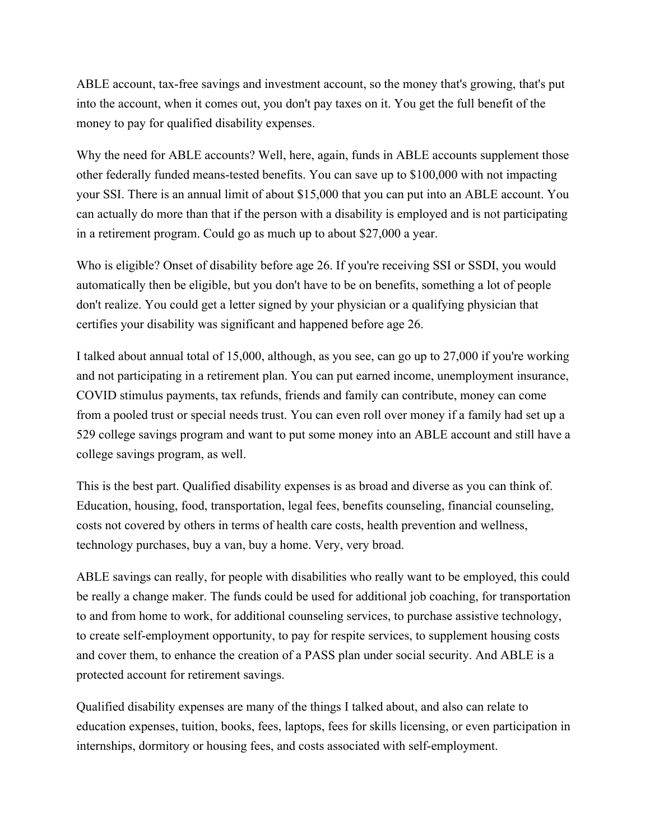ABLE account, tax-free savings and investment account, so the money that's growing, that's put into the account, when it comes out, you don't pay taxes on it. You get the full benefit of the money to pay for qualified disability expenses.

Why the need for ABLE accounts? Well, here, again, funds in ABLE accounts supplement those other federally funded means-tested benefits. You can save up to \$100,000 with not impacting your SSI. There is an annual limit of about \$15,000 that you can put into an ABLE account. You can actually do more than that if the person with a disability is employed and is not participating in a retirement program. Could go as much up to about \$27,000 a year.

Who is eligible? Onset of disability before age 26. If you're receiving SSI or SSDI, you would automatically then be eligible, but you don't have to be on benefits, something a lot of people don't realize. You could get a letter signed by your physician or a qualifying physician that certifies your disability was significant and happened before age 26.

I talked about annual total of 15,000, although, as you see, can go up to 27,000 if you're working and not participating in a retirement plan. You can put earned income, unemployment insurance, COVID stimulus payments, tax refunds, friends and family can contribute, money can come from a pooled trust or special needs trust. You can even roll over money if a family had set up a 529 college savings program and want to put some money into an ABLE account and still have a college savings program, as well.

This is the best part. Qualified disability expenses is as broad and diverse as you can think of. Education, housing, food, transportation, legal fees, benefits counseling, financial counseling, costs not covered by others in terms of health care costs, health prevention and wellness, technology purchases, buy a van, buy a home. Very, very broad.

ABLE savings can really, for people with disabilities who really want to be employed, this could be really a change maker. The funds could be used for additional job coaching, for transportation to and from home to work, for additional counseling services, to purchase assistive technology, to create self-employment opportunity, to pay for respite services, to supplement housing costs and cover them, to enhance the creation of a PASS plan under social security. And ABLE is a protected account for retirement savings.

Qualified disability expenses are many of the things I talked about, and also can relate to education expenses, tuition, books, fees, laptops, fees for skills licensing, or even participation in internships, dormitory or housing fees, and costs associated with self-employment.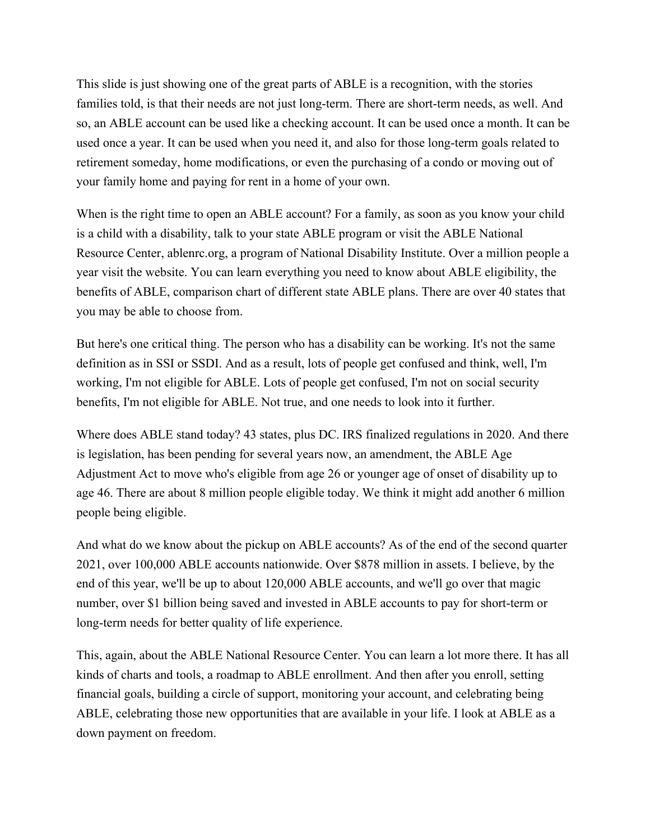This slide is just showing one of the great parts of ABLE is a recognition, with the stories families told, is that their needs are not just long-term. There are short-term needs, as well. And so, an ABLE account can be used like a checking account. It can be used once a month. It can be used once a year. It can be used when you need it, and also for those long-term goals related to retirement someday, home modifications, or even the purchasing of a condo or moving out of your family home and paying for rent in a home of your own.

When is the right time to open an ABLE account? For a family, as soon as you know your child is a child with a disability, talk to your state ABLE program or visit the ABLE National Resource Center, ablenrc.org, a program of National Disability Institute. Over a million people a year visit the website. You can learn everything you need to know about ABLE eligibility, the benefits of ABLE, comparison chart of different state ABLE plans. There are over 40 states that you may be able to choose from.

But here's one critical thing. The person who has a disability can be working. It's not the same definition as in SSI or SSDI. And as a result, lots of people get confused and think, well, I'm working, I'm not eligible for ABLE. Lots of people get confused, I'm not on social security benefits, I'm not eligible for ABLE. Not true, and one needs to look into it further.

Where does ABLE stand today? 43 states, plus DC. IRS finalized regulations in 2020. And there is legislation, has been pending for several years now, an amendment, the ABLE Age Adjustment Act to move who's eligible from age 26 or younger age of onset of disability up to age 46. There are about 8 million people eligible today. We think it might add another 6 million people being eligible.

And what do we know about the pickup on ABLE accounts? As of the end of the second quarter 2021, over 100,000 ABLE accounts nationwide. Over \$878 million in assets. I believe, by the end of this year, we'll be up to about 120,000 ABLE accounts, and we'll go over that magic number, over \$1 billion being saved and invested in ABLE accounts to pay for short-term or long-term needs for better quality of life experience.

This, again, about the ABLE National Resource Center. You can learn a lot more there. It has all kinds of charts and tools, a roadmap to ABLE enrollment. And then after you enroll, setting financial goals, building a circle of support, monitoring your account, and celebrating being ABLE, celebrating those new opportunities that are available in your life. I look at ABLE as a down payment on freedom.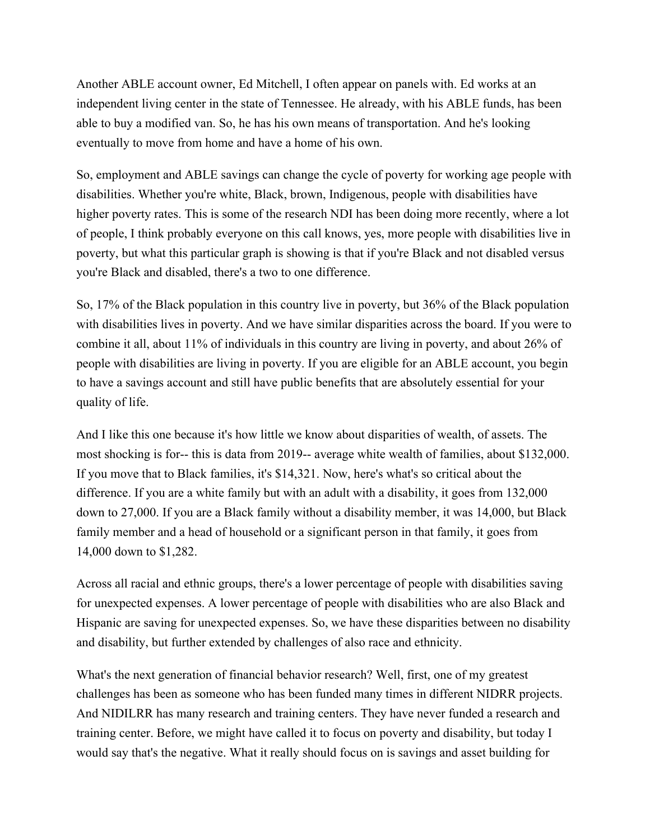Another ABLE account owner, Ed Mitchell, I often appear on panels with. Ed works at an independent living center in the state of Tennessee. He already, with his ABLE funds, has been able to buy a modified van. So, he has his own means of transportation. And he's looking eventually to move from home and have a home of his own.

So, employment and ABLE savings can change the cycle of poverty for working age people with disabilities. Whether you're white, Black, brown, Indigenous, people with disabilities have higher poverty rates. This is some of the research NDI has been doing more recently, where a lot of people, I think probably everyone on this call knows, yes, more people with disabilities live in poverty, but what this particular graph is showing is that if you're Black and not disabled versus you're Black and disabled, there's a two to one difference.

So, 17% of the Black population in this country live in poverty, but 36% of the Black population with disabilities lives in poverty. And we have similar disparities across the board. If you were to combine it all, about 11% of individuals in this country are living in poverty, and about 26% of people with disabilities are living in poverty. If you are eligible for an ABLE account, you begin to have a savings account and still have public benefits that are absolutely essential for your quality of life.

And I like this one because it's how little we know about disparities of wealth, of assets. The most shocking is for-- this is data from 2019-- average white wealth of families, about \$132,000. If you move that to Black families, it's \$14,321. Now, here's what's so critical about the difference. If you are a white family but with an adult with a disability, it goes from 132,000 down to 27,000. If you are a Black family without a disability member, it was 14,000, but Black family member and a head of household or a significant person in that family, it goes from 14,000 down to \$1,282.

Across all racial and ethnic groups, there's a lower percentage of people with disabilities saving for unexpected expenses. A lower percentage of people with disabilities who are also Black and Hispanic are saving for unexpected expenses. So, we have these disparities between no disability and disability, but further extended by challenges of also race and ethnicity.

What's the next generation of financial behavior research? Well, first, one of my greatest challenges has been as someone who has been funded many times in different NIDRR projects. And NIDILRR has many research and training centers. They have never funded a research and training center. Before, we might have called it to focus on poverty and disability, but today I would say that's the negative. What it really should focus on is savings and asset building for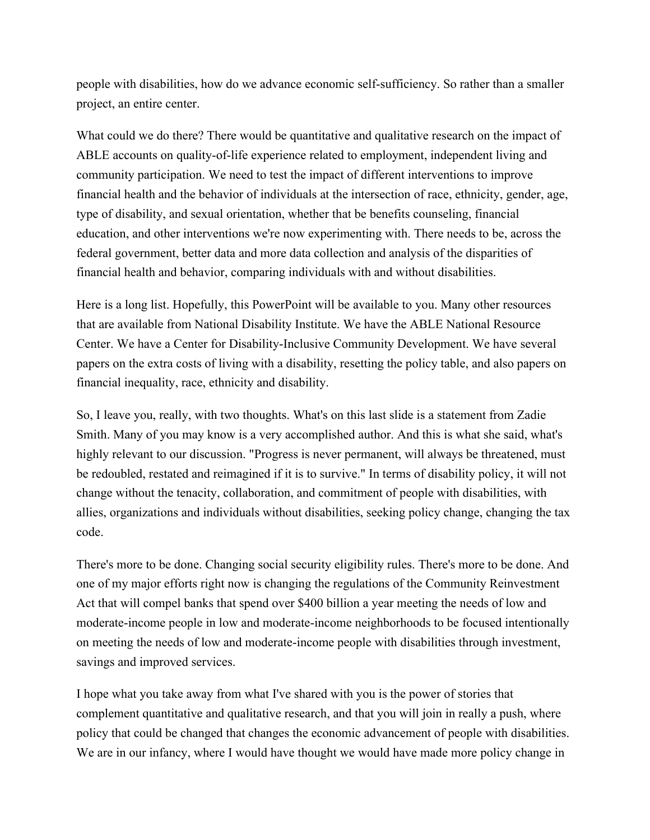people with disabilities, how do we advance economic self-sufficiency. So rather than a smaller project, an entire center.

What could we do there? There would be quantitative and qualitative research on the impact of ABLE accounts on quality-of-life experience related to employment, independent living and community participation. We need to test the impact of different interventions to improve financial health and the behavior of individuals at the intersection of race, ethnicity, gender, age, type of disability, and sexual orientation, whether that be benefits counseling, financial education, and other interventions we're now experimenting with. There needs to be, across the federal government, better data and more data collection and analysis of the disparities of financial health and behavior, comparing individuals with and without disabilities.

Here is a long list. Hopefully, this PowerPoint will be available to you. Many other resources that are available from National Disability Institute. We have the ABLE National Resource Center. We have a Center for Disability-Inclusive Community Development. We have several papers on the extra costs of living with a disability, resetting the policy table, and also papers on financial inequality, race, ethnicity and disability.

So, I leave you, really, with two thoughts. What's on this last slide is a statement from Zadie Smith. Many of you may know is a very accomplished author. And this is what she said, what's highly relevant to our discussion. "Progress is never permanent, will always be threatened, must be redoubled, restated and reimagined if it is to survive." In terms of disability policy, it will not change without the tenacity, collaboration, and commitment of people with disabilities, with allies, organizations and individuals without disabilities, seeking policy change, changing the tax code.

There's more to be done. Changing social security eligibility rules. There's more to be done. And one of my major efforts right now is changing the regulations of the Community Reinvestment Act that will compel banks that spend over \$400 billion a year meeting the needs of low and moderate-income people in low and moderate-income neighborhoods to be focused intentionally on meeting the needs of low and moderate-income people with disabilities through investment, savings and improved services.

I hope what you take away from what I've shared with you is the power of stories that complement quantitative and qualitative research, and that you will join in really a push, where policy that could be changed that changes the economic advancement of people with disabilities. We are in our infancy, where I would have thought we would have made more policy change in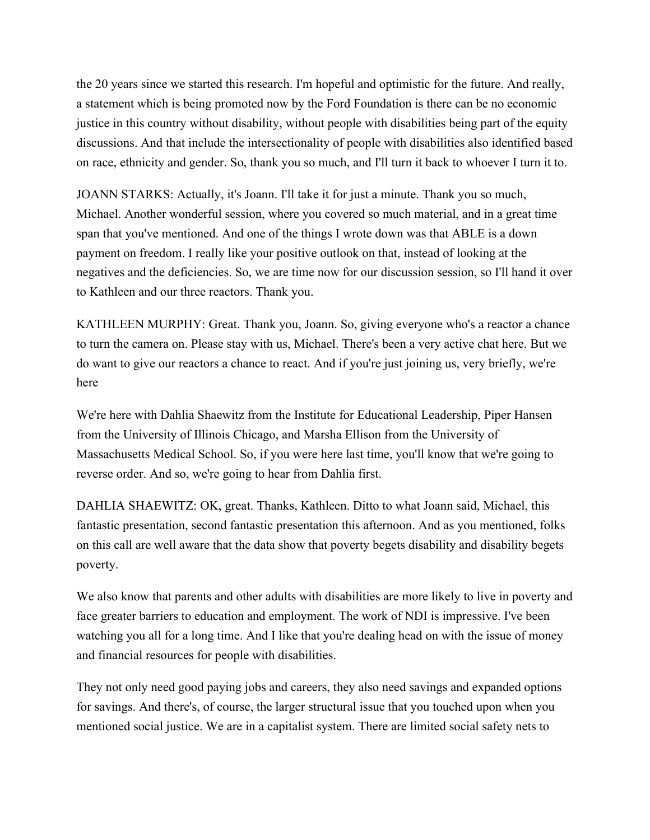the 20 years since we started this research. I'm hopeful and optimistic for the future. And really, a statement which is being promoted now by the Ford Foundation is there can be no economic justice in this country without disability, without people with disabilities being part of the equity discussions. And that include the intersectionality of people with disabilities also identified based on race, ethnicity and gender. So, thank you so much, and I'll turn it back to whoever I turn it to.

JOANN STARKS: Actually, it's Joann. I'll take it for just a minute. Thank you so much, Michael. Another wonderful session, where you covered so much material, and in a great time span that you've mentioned. And one of the things I wrote down was that ABLE is a down payment on freedom. I really like your positive outlook on that, instead of looking at the negatives and the deficiencies. So, we are time now for our discussion session, so I'll hand it over to Kathleen and our three reactors. Thank you.

KATHLEEN MURPHY: Great. Thank you, Joann. So, giving everyone who's a reactor a chance to turn the camera on. Please stay with us, Michael. There's been a very active chat here. But we do want to give our reactors a chance to react. And if you're just joining us, very briefly, we're here

We're here with Dahlia Shaewitz from the Institute for Educational Leadership, Piper Hansen from the University of Illinois Chicago, and Marsha Ellison from the University of Massachusetts Medical School. So, if you were here last time, you'll know that we're going to reverse order. And so, we're going to hear from Dahlia first.

DAHLIA SHAEWITZ: OK, great. Thanks, Kathleen. Ditto to what Joann said, Michael, this fantastic presentation, second fantastic presentation this afternoon. And as you mentioned, folks on this call are well aware that the data show that poverty begets disability and disability begets poverty.

We also know that parents and other adults with disabilities are more likely to live in poverty and face greater barriers to education and employment. The work of NDI is impressive. I've been watching you all for a long time. And I like that you're dealing head on with the issue of money and financial resources for people with disabilities.

They not only need good paying jobs and careers, they also need savings and expanded options for savings. And there's, of course, the larger structural issue that you touched upon when you mentioned social justice. We are in a capitalist system. There are limited social safety nets to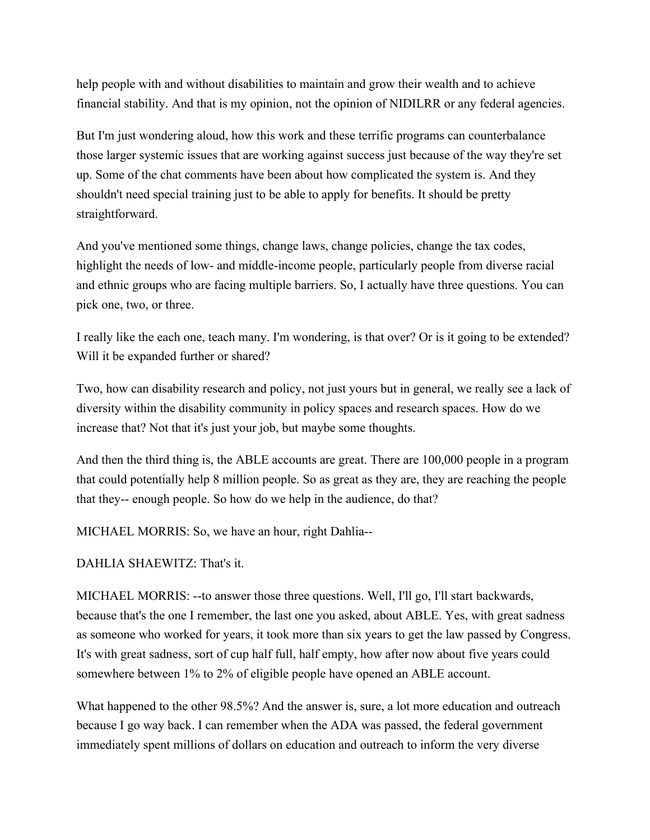help people with and without disabilities to maintain and grow their wealth and to achieve financial stability. And that is my opinion, not the opinion of NIDILRR or any federal agencies.

But I'm just wondering aloud, how this work and these terrific programs can counterbalance those larger systemic issues that are working against success just because of the way they're set up. Some of the chat comments have been about how complicated the system is. And they shouldn't need special training just to be able to apply for benefits. It should be pretty straightforward.

And you've mentioned some things, change laws, change policies, change the tax codes, highlight the needs of low- and middle-income people, particularly people from diverse racial and ethnic groups who are facing multiple barriers. So, I actually have three questions. You can pick one, two, or three.

I really like the each one, teach many. I'm wondering, is that over? Or is it going to be extended? Will it be expanded further or shared?

Two, how can disability research and policy, not just yours but in general, we really see a lack of diversity within the disability community in policy spaces and research spaces. How do we increase that? Not that it's just your job, but maybe some thoughts.

And then the third thing is, the ABLE accounts are great. There are 100,000 people in a program that could potentially help 8 million people. So as great as they are, they are reaching the people that they-- enough people. So how do we help in the audience, do that?

MICHAEL MORRIS: So, we have an hour, right Dahlia--

## DAHLIA SHAEWITZ: That's it.

MICHAEL MORRIS: --to answer those three questions. Well, I'll go, I'll start backwards, because that's the one I remember, the last one you asked, about ABLE. Yes, with great sadness as someone who worked for years, it took more than six years to get the law passed by Congress. It's with great sadness, sort of cup half full, half empty, how after now about five years could somewhere between 1% to 2% of eligible people have opened an ABLE account.

What happened to the other 98.5%? And the answer is, sure, a lot more education and outreach because I go way back. I can remember when the ADA was passed, the federal government immediately spent millions of dollars on education and outreach to inform the very diverse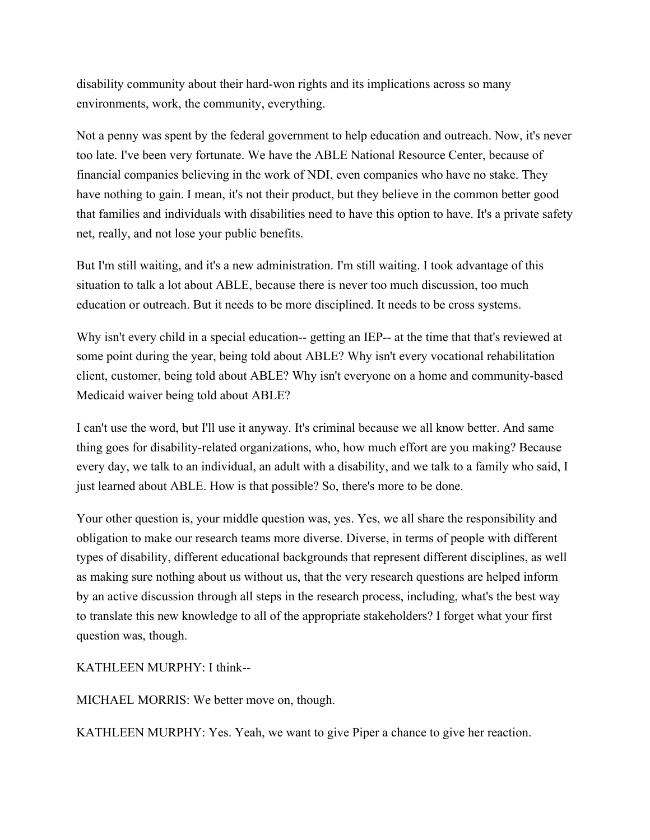disability community about their hard-won rights and its implications across so many environments, work, the community, everything.

Not a penny was spent by the federal government to help education and outreach. Now, it's never too late. I've been very fortunate. We have the ABLE National Resource Center, because of financial companies believing in the work of NDI, even companies who have no stake. They have nothing to gain. I mean, it's not their product, but they believe in the common better good that families and individuals with disabilities need to have this option to have. It's a private safety net, really, and not lose your public benefits.

But I'm still waiting, and it's a new administration. I'm still waiting. I took advantage of this situation to talk a lot about ABLE, because there is never too much discussion, too much education or outreach. But it needs to be more disciplined. It needs to be cross systems.

Why isn't every child in a special education-- getting an IEP-- at the time that that's reviewed at some point during the year, being told about ABLE? Why isn't every vocational rehabilitation client, customer, being told about ABLE? Why isn't everyone on a home and community-based Medicaid waiver being told about ABLE?

I can't use the word, but I'll use it anyway. It's criminal because we all know better. And same thing goes for disability-related organizations, who, how much effort are you making? Because every day, we talk to an individual, an adult with a disability, and we talk to a family who said, I just learned about ABLE. How is that possible? So, there's more to be done.

Your other question is, your middle question was, yes. Yes, we all share the responsibility and obligation to make our research teams more diverse. Diverse, in terms of people with different types of disability, different educational backgrounds that represent different disciplines, as well as making sure nothing about us without us, that the very research questions are helped inform by an active discussion through all steps in the research process, including, what's the best way to translate this new knowledge to all of the appropriate stakeholders? I forget what your first question was, though.

KATHLEEN MURPHY: I think--

MICHAEL MORRIS: We better move on, though.

KATHLEEN MURPHY: Yes. Yeah, we want to give Piper a chance to give her reaction.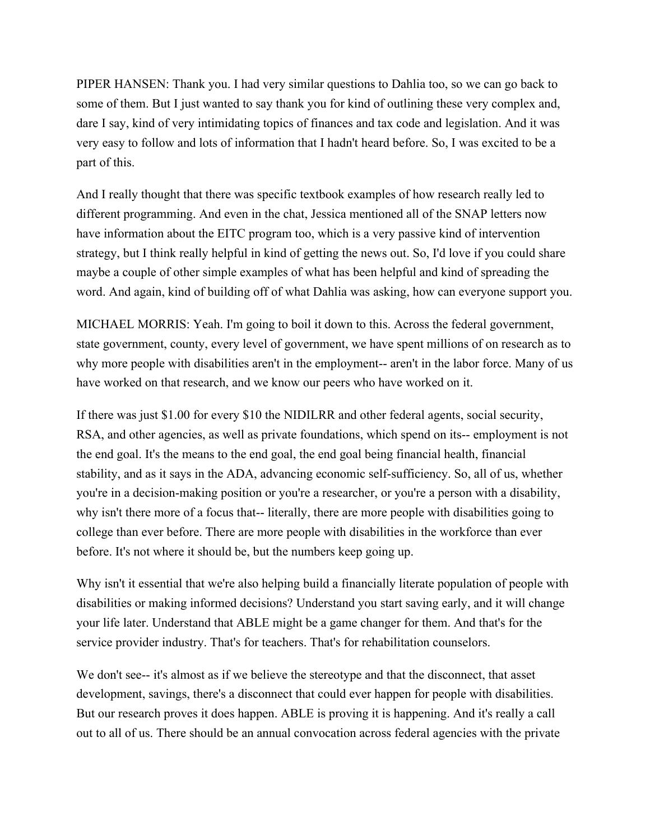PIPER HANSEN: Thank you. I had very similar questions to Dahlia too, so we can go back to some of them. But I just wanted to say thank you for kind of outlining these very complex and, dare I say, kind of very intimidating topics of finances and tax code and legislation. And it was very easy to follow and lots of information that I hadn't heard before. So, I was excited to be a part of this.

And I really thought that there was specific textbook examples of how research really led to different programming. And even in the chat, Jessica mentioned all of the SNAP letters now have information about the EITC program too, which is a very passive kind of intervention strategy, but I think really helpful in kind of getting the news out. So, I'd love if you could share maybe a couple of other simple examples of what has been helpful and kind of spreading the word. And again, kind of building off of what Dahlia was asking, how can everyone support you.

MICHAEL MORRIS: Yeah. I'm going to boil it down to this. Across the federal government, state government, county, every level of government, we have spent millions of on research as to why more people with disabilities aren't in the employment-- aren't in the labor force. Many of us have worked on that research, and we know our peers who have worked on it.

If there was just \$1.00 for every \$10 the NIDILRR and other federal agents, social security, RSA, and other agencies, as well as private foundations, which spend on its-- employment is not the end goal. It's the means to the end goal, the end goal being financial health, financial stability, and as it says in the ADA, advancing economic self-sufficiency. So, all of us, whether you're in a decision-making position or you're a researcher, or you're a person with a disability, why isn't there more of a focus that-- literally, there are more people with disabilities going to college than ever before. There are more people with disabilities in the workforce than ever before. It's not where it should be, but the numbers keep going up.

Why isn't it essential that we're also helping build a financially literate population of people with disabilities or making informed decisions? Understand you start saving early, and it will change your life later. Understand that ABLE might be a game changer for them. And that's for the service provider industry. That's for teachers. That's for rehabilitation counselors.

We don't see-- it's almost as if we believe the stereotype and that the disconnect, that asset development, savings, there's a disconnect that could ever happen for people with disabilities. But our research proves it does happen. ABLE is proving it is happening. And it's really a call out to all of us. There should be an annual convocation across federal agencies with the private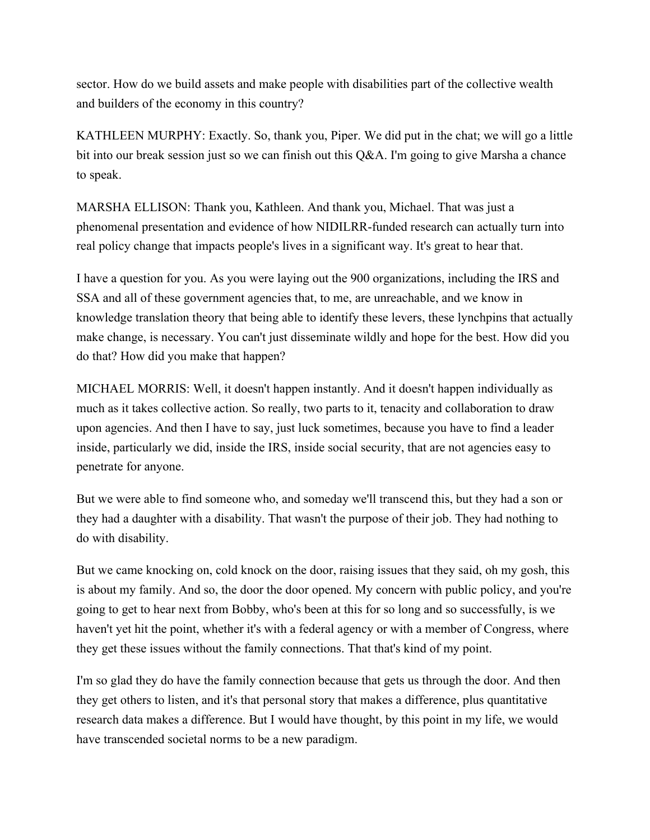sector. How do we build assets and make people with disabilities part of the collective wealth and builders of the economy in this country?

KATHLEEN MURPHY: Exactly. So, thank you, Piper. We did put in the chat; we will go a little bit into our break session just so we can finish out this Q&A. I'm going to give Marsha a chance to speak.

MARSHA ELLISON: Thank you, Kathleen. And thank you, Michael. That was just a phenomenal presentation and evidence of how NIDILRR-funded research can actually turn into real policy change that impacts people's lives in a significant way. It's great to hear that.

I have a question for you. As you were laying out the 900 organizations, including the IRS and SSA and all of these government agencies that, to me, are unreachable, and we know in knowledge translation theory that being able to identify these levers, these lynchpins that actually make change, is necessary. You can't just disseminate wildly and hope for the best. How did you do that? How did you make that happen?

MICHAEL MORRIS: Well, it doesn't happen instantly. And it doesn't happen individually as much as it takes collective action. So really, two parts to it, tenacity and collaboration to draw upon agencies. And then I have to say, just luck sometimes, because you have to find a leader inside, particularly we did, inside the IRS, inside social security, that are not agencies easy to penetrate for anyone.

But we were able to find someone who, and someday we'll transcend this, but they had a son or they had a daughter with a disability. That wasn't the purpose of their job. They had nothing to do with disability.

But we came knocking on, cold knock on the door, raising issues that they said, oh my gosh, this is about my family. And so, the door the door opened. My concern with public policy, and you're going to get to hear next from Bobby, who's been at this for so long and so successfully, is we haven't yet hit the point, whether it's with a federal agency or with a member of Congress, where they get these issues without the family connections. That that's kind of my point.

I'm so glad they do have the family connection because that gets us through the door. And then they get others to listen, and it's that personal story that makes a difference, plus quantitative research data makes a difference. But I would have thought, by this point in my life, we would have transcended societal norms to be a new paradigm.